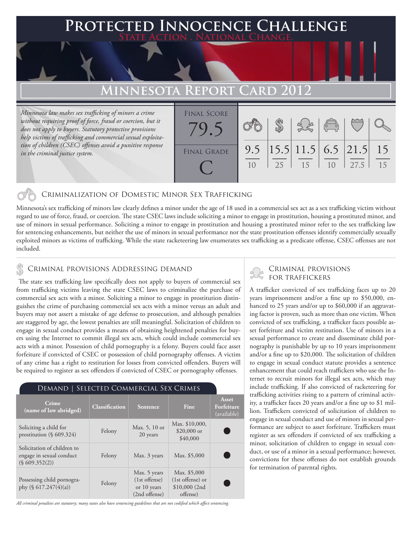### **FED INNOCENCE CHALLENGE State Action . National Change.**

# **MINNESOTA REPORT CARD**

*Minnesota law makes sex trafficking of minors a crime*  without requiring proof of force, fraud or coercion, but it *does not apply to buyers. Statutory protective provisions help victims of trafficking and commercial sexual exploitation of children (CSEC) offenses avoid a punitive response in the criminal justice system.*

| <b>FINAL SCORE</b> |     |    |                                                         |                                                |      |    |
|--------------------|-----|----|---------------------------------------------------------|------------------------------------------------|------|----|
|                    |     |    |                                                         | $\begin{pmatrix} 0 & 0 \\ 0 & 0 \end{pmatrix}$ |      |    |
|                    |     |    |                                                         |                                                |      |    |
|                    |     |    |                                                         |                                                |      |    |
| <b>FINAL GRADE</b> | 9.5 |    | $\left  15.5 \right  11.5$ 6.5 $\left  21.5 \right  15$ |                                                |      |    |
|                    |     | 25 | 15                                                      |                                                | 27.5 | 15 |
|                    |     |    |                                                         |                                                |      |    |
|                    |     |    |                                                         |                                                |      |    |

#### Criminalization of Domestic Minor Sex Trafficking

Minnesota's sex trafficking of minors law clearly defines a minor under the age of 18 used in a commercial sex act as a sex trafficking victim without regard to use of force, fraud, or coercion. The state CSEC laws include soliciting a minor to engage in prostitution, housing a prostituted minor, and use of minors in sexual performance. Soliciting a minor to engage in prostitution and housing a prostituted minor refer to the sex trafficking law for sentencing enhancements, but neither the use of minors in sexual performance nor the state prostitution offenses identify commercially sexually exploited minors as victims of trafficking. While the state racketeering law enumerates sex trafficking as a predicate offense, CSEC offenses are not included.

#### CRIMINAL PROVISIONS ADDRESSING DEMAND

 The state sex trafficking law specifically does not apply to buyers of commercial sex from trafficking victims leaving the state CSEC laws to criminalize the purchase of commercial sex acts with a minor. Soliciting a minor to engage in prostitution distinguishes the crime of purchasing commercial sex acts with a minor versus an adult and buyers may not assert a mistake of age defense to prosecution, and although penalties are staggered by age, the lowest penalties are still meaningful. Solicitation of children to engage in sexual conduct provides a means of obtaining heightened penalties for buyers using the Internet to commit illegal sex acts, which could include commercial sex acts with a minor. Possession of child pornography is a felony. Buyers could face asset forfeiture if convicted of CSEC or possession of child pornography offenses. A victim of any crime has a right to restitution for losses from convicted offenders. Buyers will be required to register as sex offenders if convicted of CSEC or pornography offenses.

#### Demand | Selected Commercial Sex Crimes

| <b>Crime</b><br>(name of law abridged)                                   | <b>Classification</b> | Sentence                                                        | Fine                                                          | Asset<br>Forfeiture<br>(available) |
|--------------------------------------------------------------------------|-----------------------|-----------------------------------------------------------------|---------------------------------------------------------------|------------------------------------|
| Soliciting a child for<br>prostitution $(\S 609.324)$                    | Felony                | Max. 5, 10 or<br>20 years                                       | Max. \$10,000,<br>$$20,000$ or<br>\$40,000                    |                                    |
| Solicitation of children to<br>engage in sexual conduct<br>(S609.352(2)) | Felony                | Max. 3 years                                                    | Max. \$5,000                                                  |                                    |
| Possessing child pornogra-<br>phy $(\S 617.247(4)(a))$                   | Felony                | Max. 5 years<br>$(1st$ offense)<br>or 10 years<br>(2nd offense) | Max. \$5,000<br>(1st offense) or<br>\$10,000(2nd)<br>offense) |                                    |

*All criminal penalties are statutory; many states also have sentencing guidelines that are not codified which affect sentencing.* 

# Criminal provisions

A trafficker convicted of sex trafficking faces up to 20 years imprisonment and/or a fine up to \$50,000, enhanced to 25 years and/or up to \$60,000 if an aggravating factor is proven, such as more than one victim. When convicted of sex trafficking, a trafficker faces possible asset forfeiture and victim restitution. Use of minors in a sexual performance to create and disseminate child pornography is punishable by up to 10 years imprisonment and/or a fine up to \$20,000. The solicitation of children to engage in sexual conduct statute provides a sentence enhancement that could reach traffickers who use the Internet to recruit minors for illegal sex acts, which may include trafficking. If also convicted of racketeering for trafficking activities rising to a pattern of criminal activity, a trafficker faces 20 years and/or a fine up to \$1 million. Traffickers convicted of solicitation of children to engage in sexual conduct and use of minors in sexual performance are subject to asset forfeiture. Traffickers must register as sex offenders if convicted of sex trafficking a minor, solicitation of children to engage in sexual conduct, or use of a minor in a sexual performance; however, convictions for these offenses do not establish grounds for termination of parental rights.